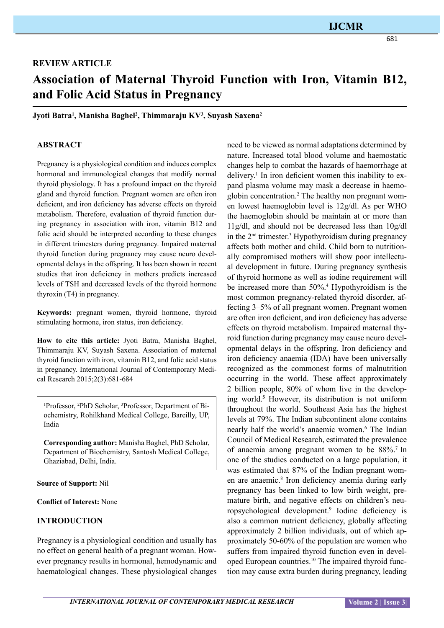## **IJCMR**

## **REVIEW ARTICLE**

# **Association of Maternal Thyroid Function with Iron, Vitamin B12, and Folic Acid Status in Pregnancy**

**Jyoti Batra1 , Manisha Baghel2 , Thimmaraju KV3 , Suyash Saxena2**

#### **ABSTRACT**

Pregnancy is a physiological condition and induces complex hormonal and immunological changes that modify normal thyroid physiology. It has a profound impact on the thyroid gland and thyroid function. Pregnant women are often iron deficient, and iron deficiency has adverse effects on thyroid metabolism. Therefore, evaluation of thyroid function during pregnancy in association with iron, vitamin B12 and folic acid should be interpreted according to these changes in different trimesters during pregnancy. Impaired maternal thyroid function during pregnancy may cause neuro developmental delays in the offspring. It has been shown in recent studies that iron deficiency in mothers predicts increased levels of TSH and decreased levels of the thyroid hormone thyroxin (T4) in pregnancy.

**Keywords:** pregnant women, thyroid hormone, thyroid stimulating hormone, iron status, iron deficiency.

**How to cite this article:** Jyoti Batra, Manisha Baghel, Thimmaraju KV, Suyash Saxena. Association of maternal thyroid function with iron, vitamin B12, and folic acid status in pregnancy. International Journal of Contemporary Medical Research 2015;2(3):681-684

1 Professor, 2 PhD Scholar, 3 Professor, Department of Biochemistry, Rohilkhand Medical College, Bareilly, UP, India

**Corresponding author:** Manisha Baghel, PhD Scholar, Department of Biochemistry, Santosh Medical College, Ghaziabad, Delhi, India.

**Source of Support:** Nil

**Conflict of Interest:** None

#### **Introduction**

Pregnancy is a physiological condition and usually has no effect on general health of a pregnant woman. However pregnancy results in hormonal, hemodynamic and haematological changes. These physiological changes need to be viewed as normal adaptations determined by nature. Increased total blood volume and haemostatic changes help to combat the hazards of haemorrhage at delivery.1 In iron deficient women this inability to expand plasma volume may mask a decrease in haemoglobin concentration.<sup>2</sup> The healthy non pregnant women lowest haemoglobin level is 12g/dl. As per WHO the haemoglobin should be maintain at or more than 11g/dl, and should not be decreased less than 10g/dl in the  $2<sup>nd</sup>$  trimester.<sup>3</sup> Hypothyroidism during pregnancy affects both mother and child. Child born to nutritionally compromised mothers will show poor intellectual development in future. During pregnancy synthesis of thyroid hormone as well as iodine requirement will be increased more than 50%. 4 Hypothyroidism is the most common pregnancy-related thyroid disorder, affecting 3–5% of all pregnant women. Pregnant women are often iron deficient, and iron deficiency has adverse effects on thyroid metabolism. Impaired maternal thyroid function during pregnancy may cause neuro developmental delays in the offspring. Iron deficiency and iron deficiency anaemia (IDA) have been universally recognized as the commonest forms of malnutrition occurring in the world. These affect approximately 2 billion people, 80% of whom live in the developing world. **<sup>5</sup>** However, its distribution is not uniform throughout the world. Southeast Asia has the highest levels at 79%. The Indian subcontinent alone contains nearly half the world's anaemic women.<sup>6</sup> The Indian Council of Medical Research, estimated the prevalence of anaemia among pregnant women to be 88%.7 In one of the studies conducted on a large population, it was estimated that 87% of the Indian pregnant women are anaemic.<sup>8</sup> Iron deficiency anemia during early pregnancy has been linked to low birth weight, premature birth, and negative effects on children's neuropsychological development.9 Iodine deficiency is also a common nutrient deficiency, globally affecting approximately 2 billion individuals, out of which approximately 50-60% of the population are women who suffers from impaired thyroid function even in developed European countries.<sup>10</sup> The impaired thyroid function may cause extra burden during pregnancy, leading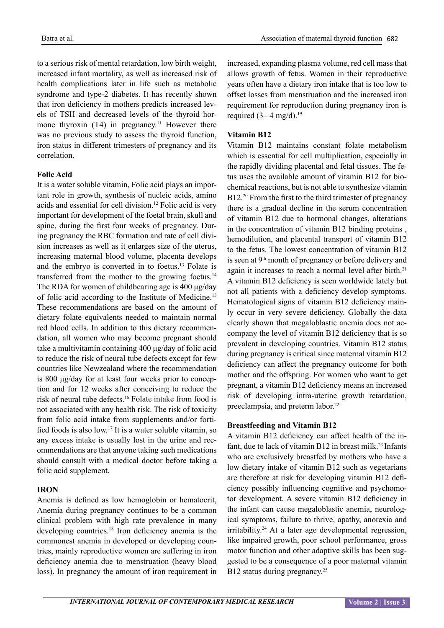to a serious risk of mental retardation, low birth weight, increased infant mortality, as well as increased risk of health complications later in life such as metabolic syndrome and type-2 diabetes. It has recently shown that iron deficiency in mothers predicts increased levels of TSH and decreased levels of the thyroid hormone thyroxin  $(T4)$  in pregnancy.<sup>11</sup> However there was no previous study to assess the thyroid function, iron status in different trimesters of pregnancy and its correlation.

#### **Folic Acid**

It is a water soluble vitamin, Folic acid plays an important role in growth, synthesis of nucleic acids, amino acids and essential for cell division.12 Folic acid is very important for development of the foetal brain, skull and spine, during the first four weeks of pregnancy. During pregnancy the RBC formation and rate of cell division increases as well as it enlarges size of the uterus, increasing maternal blood volume, placenta develops and the embryo is converted in to foetus.13 Folate is transferred from the mother to the growing foetus.<sup>14</sup> The RDA for women of childbearing age is 400 μg/day of folic acid according to the Institute of Medicine.15 These recommendations are based on the amount of dietary folate equivalents needed to maintain normal red blood cells. In addition to this dietary recommendation, all women who may become pregnant should take a multivitamin containing 400 μg/day of folic acid to reduce the risk of neural tube defects except for few countries like Newzealand where the recommendation is 800 μg/day for at least four weeks prior to conception and for 12 weeks after conceiving to reduce the risk of neural tube defects.16 Folate intake from food is not associated with any health risk. The risk of toxicity from folic acid intake from supplements and/or fortified foods is also low.17 It is a water soluble vitamin, so any excess intake is usually lost in the urine and recommendations are that anyone taking such medications should consult with a medical doctor before taking a folic acid supplement.

### **IRON**

Anemia is defined as low hemoglobin or hematocrit, Anemia during pregnancy continues to be a common clinical problem with high rate prevalence in many developing countries.<sup>18</sup> Iron deficiency anemia is the commonest anemia in developed or developing countries, mainly reproductive women are suffering in iron deficiency anemia due to menstruation (heavy blood loss). In pregnancy the amount of iron requirement in

increased, expanding plasma volume, red cell mass that allows growth of fetus. Women in their reproductive years often have a dietary iron intake that is too low to offset losses from menstruation and the increased iron requirement for reproduction during pregnancy iron is required  $(3-4 \text{ mg/d})$ .<sup>19</sup>

#### **Vitamin B12**

Vitamin B12 maintains constant folate metabolism which is essential for cell multiplication, especially in the rapidly dividing placental and fetal tissues. The fetus uses the available amount of vitamin B12 for biochemical reactions, but is not able to synthesize vitamin B12.<sup>20</sup> From the first to the third trimester of pregnancy there is a gradual decline in the serum concentration of vitamin B12 due to hormonal changes, alterations in the concentration of vitamin B12 binding proteins , hemodilution, and placental transport of vitamin B12 to the fetus. The lowest concentration of vitamin B12 is seen at  $9<sup>th</sup>$  month of pregnancy or before delivery and again it increases to reach a normal level after birth.<sup>21</sup> A vitamin B12 deficiency is seen worldwide lately but not all patients with a deficiency develop symptoms. Hematological signs of vitamin B12 deficiency mainly occur in very severe deficiency. Globally the data clearly shown that megaloblastic anemia does not accompany the level of vitamin B12 deficiency that is so prevalent in developing countries. Vitamin B12 status during pregnancy is critical since maternal vitamin B12 deficiency can affect the pregnancy outcome for both mother and the offspring. For women who want to get pregnant, a vitamin B12 deficiency means an increased risk of developing intra-uterine growth retardation, preeclampsia, and preterm labor.<sup>22</sup>

#### **Breastfeeding and Vitamin B12**

A vitamin B12 deficiency can affect health of the infant, due to lack of vitamin  $B12$  in breast milk.<sup>23</sup> Infants who are exclusively breastfed by mothers who have a low dietary intake of vitamin B12 such as vegetarians are therefore at risk for developing vitamin B12 deficiency possibly influencing cognitive and psychomotor development. A severe vitamin B12 deficiency in the infant can cause megaloblastic anemia, neurological symptoms, failure to thrive, apathy, anorexia and irritability.24 At a later age developmental regression, like impaired growth, poor school performance, gross motor function and other adaptive skills has been suggested to be a consequence of a poor maternal vitamin B12 status during pregnancy.<sup>25</sup>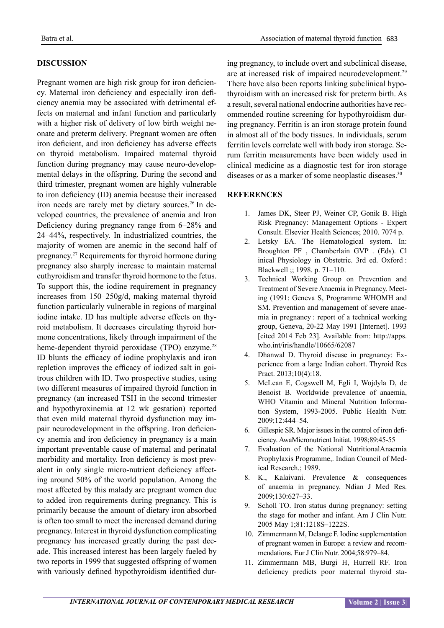#### **Discussion**

Pregnant women are high risk group for iron deficiency. Maternal iron deficiency and especially iron deficiency anemia may be associated with detrimental effects on maternal and infant function and particularly with a higher risk of delivery of low birth weight neonate and preterm delivery. Pregnant women are often iron deficient, and iron deficiency has adverse effects on thyroid metabolism. Impaired maternal thyroid function during pregnancy may cause neuro-developmental delays in the offspring. During the second and third trimester, pregnant women are highly vulnerable to iron deficiency (ID) anemia because their increased iron needs are rarely met by dietary sources.26 In developed countries, the prevalence of anemia and Iron Deficiency during pregnancy range from 6–28% and 24–44%, respectively. In industrialized countries, the majority of women are anemic in the second half of pregnancy.<sup>27</sup> Requirements for thyroid hormone during pregnancy also sharply increase to maintain maternal euthyroidism and transfer thyroid hormone to the fetus. To support this, the iodine requirement in pregnancy increases from 150–250g/d, making maternal thyroid function particularly vulnerable in regions of marginal iodine intake. ID has multiple adverse effects on thyroid metabolism. It decreases circulating thyroid hormone concentrations, likely through impairment of the heme-dependent thyroid peroxidase (TPO) enzyme.<sup>28</sup> ID blunts the efficacy of iodine prophylaxis and iron repletion improves the efficacy of iodized salt in goitrous children with ID. Two prospective studies, using two different measures of impaired thyroid function in pregnancy (an increased TSH in the second trimester and hypothyroxinemia at 12 wk gestation) reported that even mild maternal thyroid dysfunction may impair neurodevelopment in the offspring. Iron deficiency anemia and iron deficiency in pregnancy is a main important preventable cause of maternal and perinatal morbidity and mortality. Iron deficiency is most prevalent in only single micro-nutrient deficiency affecting around 50% of the world population. Among the most affected by this malady are pregnant women due to added iron requirements during pregnancy. This is primarily because the amount of dietary iron absorbed is often too small to meet the increased demand during pregnancy. Interest in thyroid dysfunction complicating pregnancy has increased greatly during the past decade. This increased interest has been largely fueled by two reports in 1999 that suggested offspring of women with variously defined hypothyroidism identified during pregnancy, to include overt and subclinical disease, are at increased risk of impaired neurodevelopment.29 There have also been reports linking subclinical hypothyroidism with an increased risk for preterm birth. As a result, several national endocrine authorities have recommended routine screening for hypothyroidism during pregnancy. Ferritin is an iron storage protein found in almost all of the body tissues. In individuals, serum ferritin levels correlate well with body iron storage. Serum ferritin measurements have been widely used in clinical medicine as a diagnostic test for iron storage diseases or as a marker of some neoplastic diseases.<sup>30</sup>

#### **References**

- 1. James DK, Steer PJ, Weiner CP, Gonik B. High Risk Pregnancy: Management Options - Expert Consult. Elsevier Health Sciences; 2010. 7074 p.
- 2. Letsky EA. The Hematological system. In: Broughton PF , Chamberlain GVP . (Eds). Cl inical Physiology in Obstetric. 3rd ed. Oxford : Blackwell ;; 1998. p. 71–110.
- 3. Technical Working Group on Prevention and Treatment of Severe Anaemia in Pregnancy. Meeting (1991: Geneva S, Programme WHOMH and SM. Prevention and management of severe anaemia in pregnancy : report of a technical working group, Geneva, 20-22 May 1991 [Internet]. 1993 [cited 2014 Feb 23]. Available from: http://apps. who.int/iris/handle/10665/62087
- 4. Dhanwal D. Thyroid disease in pregnancy: Experience from a large Indian cohort. Thyroid Res Pract. 2013;10(4):18.
- 5. McLean E, Cogswell M, Egli I, Wojdyla D, de Benoist B. Worldwide prevalence of anaemia, WHO Vitamin and Mineral Nutrition Information System, 1993-2005. Public Health Nutr. 2009;12:444–54.
- 6. Gillespie SR. Major issues in the control of iron deficiency. AwaMicronutrient Initiat. 1998;89:45-55
- 7. Evaluation of the National NutritionalAnaemia Prophylaxis Programme,. Indian Council of Medical Research.; 1989.
- 8. K., Kalaivani. Prevalence & consequences of anaemia in pregnancy. Ndian J Med Res. 2009;130:627–33.
- 9. Scholl TO. Iron status during pregnancy: setting the stage for mother and infant. Am J Clin Nutr. 2005 May 1;81:1218S–1222S.
- 10. Zimmermann M, Delange F. Iodine supplementation of pregnant women in Europe: a review and recommendations. Eur J Clin Nutr. 2004;58:979–84.
- 11. Zimmermann MB, Burgi H, Hurrell RF. Iron deficiency predicts poor maternal thyroid sta-